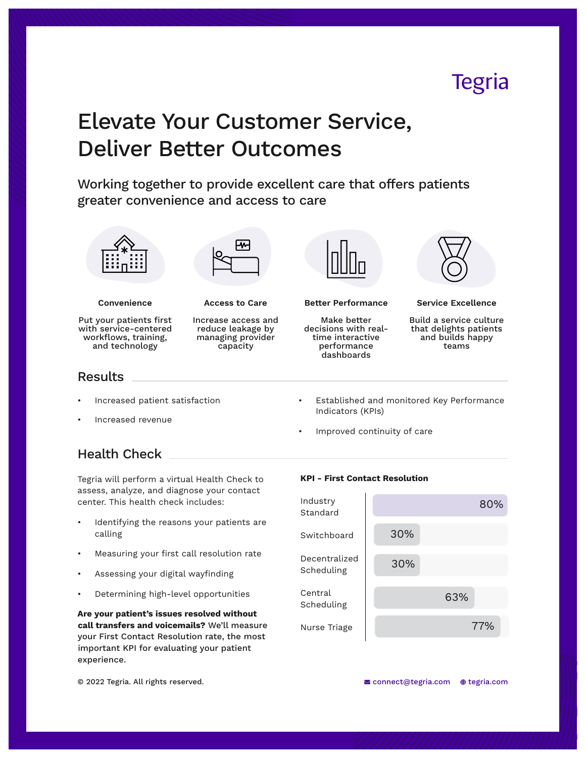# **Tegria**

# Elevate Your Customer Service, Deliver Better Outcomes

Working together to provide excellent care that offers patients greater convenience and access to care



Tegria will perform a virtual Health Check to assess, analyze, and diagnose your contact center. This health check includes:

- Identifying the reasons your patients are calling
- Measuring your first call resolution rate
- Assessing your digital wayfinding
- Determining high-level opportunities

**Are your patient's issues resolved without call transfers and voicemails?** We'll measure your First Contact Resolution rate, the most important KPI for evaluating your patient experience.

#### **KPI - First Contact Resolution**